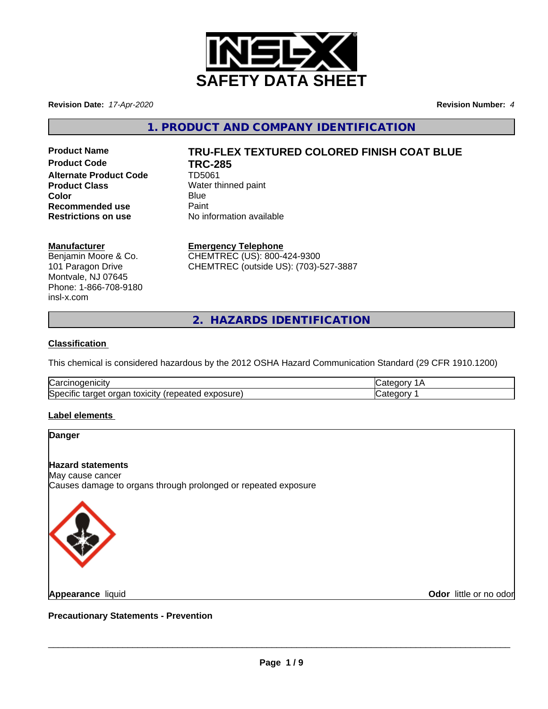

**Revision Date:** *17-Apr-2020* **Revision Number:** *4*

**1. PRODUCT AND COMPANY IDENTIFICATION**

**Product Code TRC-285 Alternate Product Code** TD5061 **Product Class** Water thinned paint **Color** Blue Blue **Recommended use** Paint<br> **Restrictions on use** No inf

## **Product Name TRU-FLEX TEXTURED COLORED FINISH COAT BLUE**

**No information available** 

### **Manufacturer**

Benjamin Moore & Co. 101 Paragon Drive Montvale, NJ 07645 Phone: 1-866-708-9180 insl-x.com

**Emergency Telephone** CHEMTREC (US): 800-424-9300

CHEMTREC (outside US): (703)-527-3887

**2. HAZARDS IDENTIFICATION**

### **Classification**

This chemical is considered hazardous by the 2012 OSHA Hazard Communication Standard (29 CFR 1910.1200)

| ∽<br>$\sim$<br>Na                                                                               |  |
|-------------------------------------------------------------------------------------------------|--|
| <b>S</b> pe<br>exposure)<br>ovr.<br>∟^`<br>eared<br>שוני<br>ا ∪ال∪…<br><b>.</b><br>31 J C<br>., |  |

### **Label elements**

# **Danger Hazard statements** May cause cancer Causes damage to organs through prolonged or repeated exposure

**Appearance** liquid

**Odor** little or no odor

**Precautionary Statements - Prevention**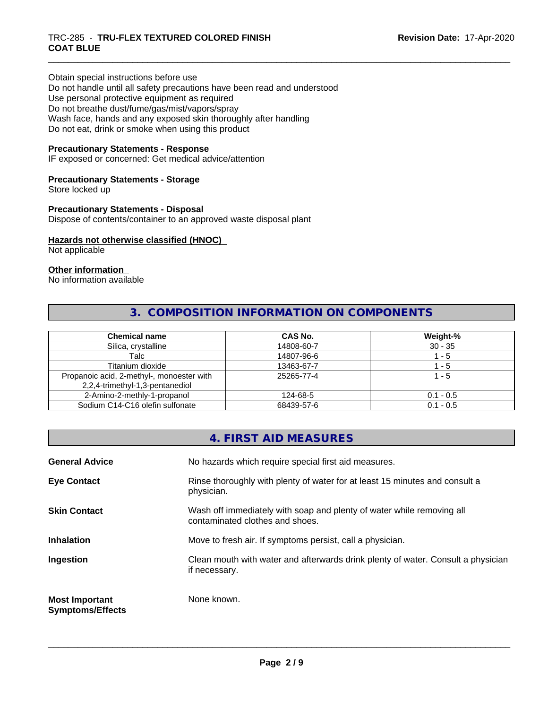### \_\_\_\_\_\_\_\_\_\_\_\_\_\_\_\_\_\_\_\_\_\_\_\_\_\_\_\_\_\_\_\_\_\_\_\_\_\_\_\_\_\_\_\_\_\_\_\_\_\_\_\_\_\_\_\_\_\_\_\_\_\_\_\_\_\_\_\_\_\_\_\_\_\_\_\_\_\_\_\_\_\_\_\_\_\_\_\_\_\_\_\_\_ TRC-285 - **TRU-FLEX TEXTURED COLORED FINISH COAT BLUE**

Obtain special instructions before use Do not handle until all safety precautions have been read and understood Use personal protective equipment as required Do not breathe dust/fume/gas/mist/vapors/spray Wash face, hands and any exposed skin thoroughly after handling Do not eat, drink or smoke when using this product

### **Precautionary Statements - Response**

IF exposed or concerned: Get medical advice/attention

### **Precautionary Statements - Storage**

Store locked up

### **Precautionary Statements - Disposal**

Dispose of contents/container to an approved waste disposal plant

### **Hazards not otherwise classified (HNOC)**

Not applicable

#### **Other information**

No information available

### **3. COMPOSITION INFORMATION ON COMPONENTS**

| <b>Chemical name</b>                      | <b>CAS No.</b> | Weight-%    |
|-------------------------------------------|----------------|-------------|
| Silica, crystalline                       | 14808-60-7     | $30 - 35$   |
| Talc                                      | 14807-96-6     | - 5         |
| Titanium dioxide                          | 13463-67-7     | - 5         |
| Propanoic acid, 2-methyl-, monoester with | 25265-77-4     | 1 - 5       |
| 2,2,4-trimethyl-1,3-pentanediol           |                |             |
| 2-Amino-2-methly-1-propanol               | 124-68-5       | $0.1 - 0.5$ |
| Sodium C14-C16 olefin sulfonate           | 68439-57-6     | $0.1 - 0.5$ |

### **4. FIRST AID MEASURES General Advice** No hazards which require special first aid measures. **Eye Contact Rinse thoroughly with plenty of water for at least 15 minutes and consult a** physician. **Skin Contact** Willem Wash off immediately with soap and plenty of water while removing all contaminated clothes and shoes. **Inhalation** Move to fresh air. If symptoms persist, call a physician. **Ingestion Exame Clean mouth with water and afterwards drink plenty of water. Consult a physician** if necessary. **Most Important Symptoms/Effects** None known.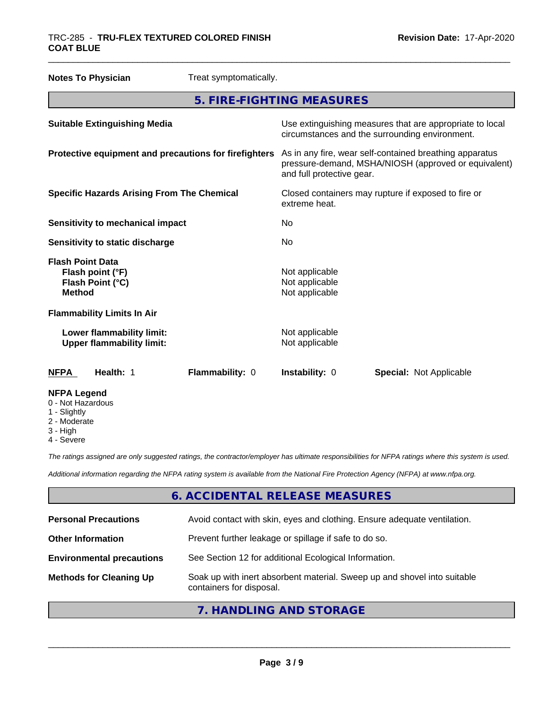| <b>Notes To Physician</b><br>Treat symptomatically.                              |                                                                                                                                              |
|----------------------------------------------------------------------------------|----------------------------------------------------------------------------------------------------------------------------------------------|
|                                                                                  | 5. FIRE-FIGHTING MEASURES                                                                                                                    |
| <b>Suitable Extinguishing Media</b>                                              | Use extinguishing measures that are appropriate to local<br>circumstances and the surrounding environment.                                   |
| Protective equipment and precautions for firefighters                            | As in any fire, wear self-contained breathing apparatus<br>pressure-demand, MSHA/NIOSH (approved or equivalent)<br>and full protective gear. |
| <b>Specific Hazards Arising From The Chemical</b>                                | Closed containers may rupture if exposed to fire or<br>extreme heat.                                                                         |
| <b>Sensitivity to mechanical impact</b>                                          | No                                                                                                                                           |
| Sensitivity to static discharge                                                  | No                                                                                                                                           |
| <b>Flash Point Data</b><br>Flash point (°F)<br>Flash Point (°C)<br><b>Method</b> | Not applicable<br>Not applicable<br>Not applicable                                                                                           |
| <b>Flammability Limits In Air</b>                                                |                                                                                                                                              |
| Lower flammability limit:<br><b>Upper flammability limit:</b>                    | Not applicable<br>Not applicable                                                                                                             |
| Health: 1<br>Flammability: 0<br><b>NFPA</b>                                      | Instability: 0<br><b>Special: Not Applicable</b>                                                                                             |
| <b>NFPA Legend</b><br>0 - Not Hazardous<br>المطاهرات المراجح                     |                                                                                                                                              |

- 1 Slightly
- 2 Moderate
- 3 High
- 4 Severe

*The ratings assigned are only suggested ratings, the contractor/employer has ultimate responsibilities for NFPA ratings where this system is used.*

*Additional information regarding the NFPA rating system is available from the National Fire Protection Agency (NFPA) at www.nfpa.org.*

### **6. ACCIDENTAL RELEASE MEASURES**

| <b>Personal Precautions</b>      | Avoid contact with skin, eyes and clothing. Ensure adequate ventilation.                             |
|----------------------------------|------------------------------------------------------------------------------------------------------|
| <b>Other Information</b>         | Prevent further leakage or spillage if safe to do so.                                                |
| <b>Environmental precautions</b> | See Section 12 for additional Ecological Information.                                                |
| <b>Methods for Cleaning Up</b>   | Soak up with inert absorbent material. Sweep up and shovel into suitable<br>containers for disposal. |
|                                  |                                                                                                      |

### **7. HANDLING AND STORAGE**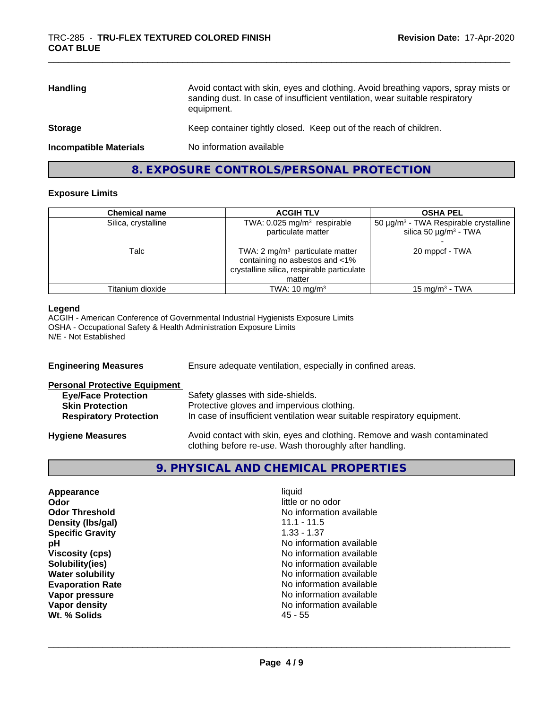| <b>Handling</b>               | Avoid contact with skin, eyes and clothing. Avoid breathing vapors, spray mists or<br>sanding dust. In case of insufficient ventilation, wear suitable respiratory<br>equipment. |
|-------------------------------|----------------------------------------------------------------------------------------------------------------------------------------------------------------------------------|
| <b>Storage</b>                | Keep container tightly closed. Keep out of the reach of children.                                                                                                                |
| <b>Incompatible Materials</b> | No information available                                                                                                                                                         |

### **8. EXPOSURE CONTROLS/PERSONAL PROTECTION**

### **Exposure Limits**

| <b>Chemical name</b> | <b>ACGIH TLV</b>                                                                                                            | <b>OSHA PEL</b>                                                                                  |
|----------------------|-----------------------------------------------------------------------------------------------------------------------------|--------------------------------------------------------------------------------------------------|
| Silica, crystalline  | TWA: $0.025$ mg/m <sup>3</sup> respirable<br>particulate matter                                                             | 50 $\mu$ g/m <sup>3</sup> - TWA Respirable crystalline<br>silica 50 $\mu$ g/m <sup>3</sup> - TWA |
| Talc                 | TWA: 2 $mg/m3$ particulate matter<br>containing no asbestos and <1%<br>crystalline silica, respirable particulate<br>matter | 20 mppcf - TWA                                                                                   |
| Titanium dioxide     | TWA: $10 \text{ mg/m}^3$                                                                                                    | 15 mg/m $3$ - TWA                                                                                |

### **Legend**

ACGIH - American Conference of Governmental Industrial Hygienists Exposure Limits OSHA - Occupational Safety & Health Administration Exposure Limits N/E - Not Established

| <b>Engineering Measures</b>          | Ensure adequate ventilation, especially in confined areas.                                                                          |
|--------------------------------------|-------------------------------------------------------------------------------------------------------------------------------------|
| <b>Personal Protective Equipment</b> |                                                                                                                                     |
| <b>Eye/Face Protection</b>           | Safety glasses with side-shields.                                                                                                   |
| <b>Skin Protection</b>               | Protective gloves and impervious clothing.                                                                                          |
| <b>Respiratory Protection</b>        | In case of insufficient ventilation wear suitable respiratory equipment.                                                            |
| <b>Hygiene Measures</b>              | Avoid contact with skin, eyes and clothing. Remove and wash contaminated<br>clothing before re-use. Wash thoroughly after handling. |

### **9. PHYSICAL AND CHEMICAL PROPERTIES**

| Appearance              | liquid                   |
|-------------------------|--------------------------|
| Odor                    | little or no odor        |
| <b>Odor Threshold</b>   | No information available |
| Density (Ibs/gal)       | $11.1 - 11.5$            |
| <b>Specific Gravity</b> | $1.33 - 1.37$            |
| рH                      | No information available |
| <b>Viscosity (cps)</b>  | No information available |
| Solubility(ies)         | No information available |
| <b>Water solubility</b> | No information available |
| <b>Evaporation Rate</b> | No information available |
| Vapor pressure          | No information available |
| Vapor density           | No information available |
| Wt. % Solids            | 45 - 55                  |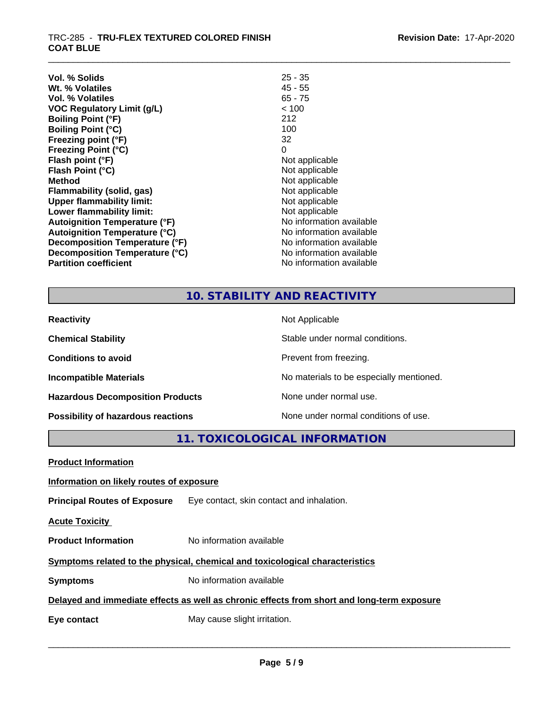| Vol. % Solids                        | $25 - 35$                |
|--------------------------------------|--------------------------|
| Wt. % Volatiles                      | 45 - 55                  |
| Vol. % Volatiles                     | $65 - 75$                |
| <b>VOC Regulatory Limit (g/L)</b>    | < 100                    |
| <b>Boiling Point (°F)</b>            | 212                      |
| <b>Boiling Point (°C)</b>            | 100                      |
| Freezing point (°F)                  | 32                       |
| <b>Freezing Point (°C)</b>           | 0                        |
| Flash point (°F)                     | Not applicable           |
| Flash Point (°C)                     | Not applicable           |
| <b>Method</b>                        | Not applicable           |
| Flammability (solid, gas)            | Not applicable           |
| <b>Upper flammability limit:</b>     | Not applicable           |
| Lower flammability limit:            | Not applicable           |
| <b>Autoignition Temperature (°F)</b> | No information available |
| <b>Autoignition Temperature (°C)</b> | No information available |
| Decomposition Temperature (°F)       | No information available |
| Decomposition Temperature (°C)       | No information available |
| <b>Partition coefficient</b>         | No information available |

### **10. STABILITY AND REACTIVITY**

| <b>Reactivity</b>                         | Not Applicable                           |
|-------------------------------------------|------------------------------------------|
| <b>Chemical Stability</b>                 | Stable under normal conditions.          |
| <b>Conditions to avoid</b>                | Prevent from freezing.                   |
| <b>Incompatible Materials</b>             | No materials to be especially mentioned. |
| <b>Hazardous Decomposition Products</b>   | None under normal use.                   |
| <b>Possibility of hazardous reactions</b> | None under normal conditions of use.     |

**11. TOXICOLOGICAL INFORMATION**

| <b>Product Information</b>               |                                                                                            |
|------------------------------------------|--------------------------------------------------------------------------------------------|
| Information on likely routes of exposure |                                                                                            |
|                                          | <b>Principal Routes of Exposure</b> Eye contact, skin contact and inhalation.              |
| <b>Acute Toxicity</b>                    |                                                                                            |
| <b>Product Information</b>               | No information available                                                                   |
|                                          | Symptoms related to the physical, chemical and toxicological characteristics               |
| <b>Symptoms</b>                          | No information available                                                                   |
|                                          | Delayed and immediate effects as well as chronic effects from short and long-term exposure |
| Eye contact                              | May cause slight irritation.                                                               |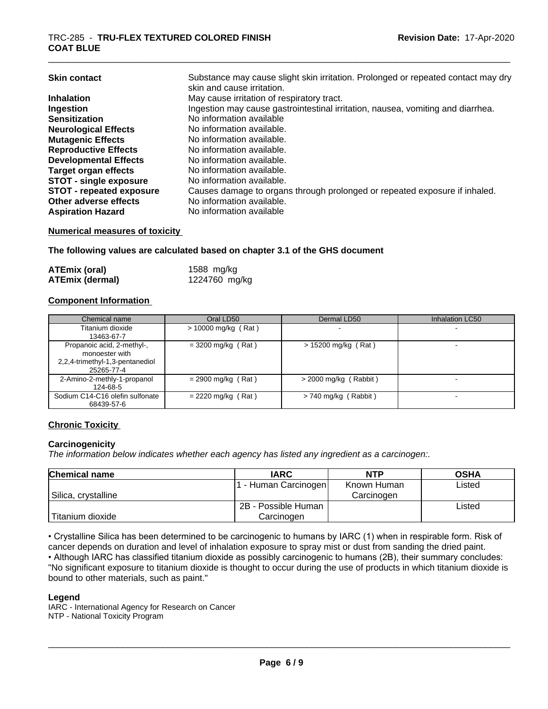| Substance may cause slight skin irritation. Prolonged or repeated contact may dry<br>skin and cause irritation. |
|-----------------------------------------------------------------------------------------------------------------|
| May cause irritation of respiratory tract.                                                                      |
| Ingestion may cause gastrointestinal irritation, nausea, vomiting and diarrhea.                                 |
| No information available                                                                                        |
| No information available.                                                                                       |
| No information available.                                                                                       |
| No information available.                                                                                       |
| No information available.                                                                                       |
| No information available.                                                                                       |
| No information available.                                                                                       |
| Causes damage to organs through prolonged or repeated exposure if inhaled.                                      |
| No information available.                                                                                       |
| No information available                                                                                        |
|                                                                                                                 |

### **Numerical measures of toxicity**

**The following values are calculated based on chapter 3.1 of the GHS document**

| <b>ATEmix (oral)</b>   | 1588 mg/kg    |  |
|------------------------|---------------|--|
| <b>ATEmix (dermal)</b> | 1224760 mg/kg |  |

### **Component Information**

| Chemical name                                                                                 | Oral LD50             | Dermal LD50             | Inhalation LC50 |
|-----------------------------------------------------------------------------------------------|-----------------------|-------------------------|-----------------|
| Titanium dioxide<br>13463-67-7                                                                | $> 10000$ mg/kg (Rat) |                         |                 |
| Propanoic acid, 2-methyl-,<br>monoester with<br>2,2,4-trimethyl-1,3-pentanediol<br>25265-77-4 | $=$ 3200 mg/kg (Rat)  | $> 15200$ mg/kg (Rat)   |                 |
| 2-Amino-2-methly-1-propanol<br>124-68-5                                                       | $= 2900$ mg/kg (Rat)  | $>$ 2000 mg/kg (Rabbit) |                 |
| Sodium C14-C16 olefin sulfonate<br>68439-57-6                                                 | $= 2220$ mg/kg (Rat)  | $> 740$ mg/kg (Rabbit)  |                 |

### **Chronic Toxicity**

### **Carcinogenicity**

*The information below indicateswhether each agency has listed any ingredient as a carcinogen:.*

| <b>Chemical name</b> | <b>IARC</b>          | <b>NTP</b>  | <b>OSHA</b> |
|----------------------|----------------------|-------------|-------------|
|                      | . - Human Carcinogen | Known Human | Listed      |
| Silica, crystalline  |                      | Carcinogen  |             |
|                      | 2B - Possible Human  |             | Listed      |
| Titanium dioxide     | Carcinogen           |             |             |

• Crystalline Silica has been determined to be carcinogenic to humans by IARC (1) when in respirable form. Risk of cancer depends on duration and level of inhalation exposure to spray mist or dust from sanding the dried paint.• Although IARC has classified titanium dioxide as possibly carcinogenic to humans (2B), their summary concludes: "No significant exposure to titanium dioxide is thought to occur during the use of products in which titanium dioxide is bound to other materials, such as paint."

#### **Legend**

IARC - International Agency for Research on Cancer NTP - National Toxicity Program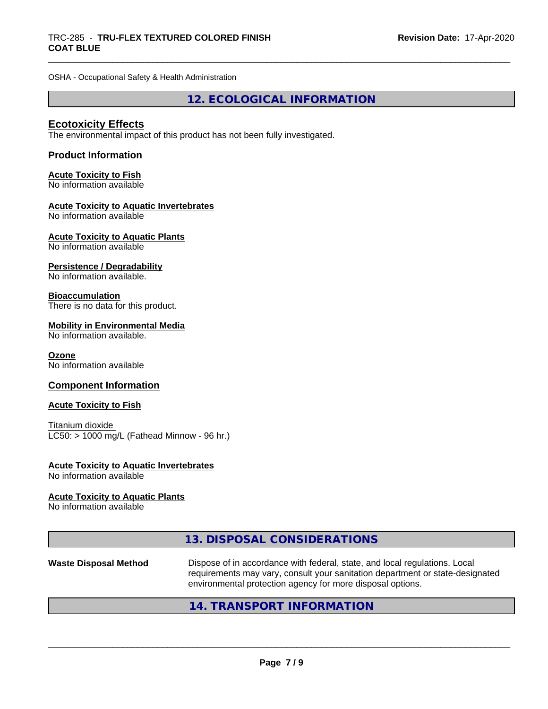OSHA - Occupational Safety & Health Administration

**12. ECOLOGICAL INFORMATION**

### **Ecotoxicity Effects**

The environmental impact of this product has not been fully investigated.

### **Product Information**

### **Acute Toxicity to Fish**

No information available

### **Acute Toxicity to Aquatic Invertebrates**

No information available

### **Acute Toxicity to Aquatic Plants**

No information available

### **Persistence / Degradability**

No information available.

### **Bioaccumulation**

There is no data for this product.

### **Mobility in Environmental Media**

No information available.

### **Ozone**

No information available

### **Component Information**

### **Acute Toxicity to Fish**

Titanium dioxide  $LC50:$  > 1000 mg/L (Fathead Minnow - 96 hr.)

### **Acute Toxicity to Aquatic Invertebrates**

No information available

### **Acute Toxicity to Aquatic Plants**

No information available

### **13. DISPOSAL CONSIDERATIONS**

**Waste Disposal Method** Dispose of in accordance with federal, state, and local regulations. Local requirements may vary, consult your sanitation department or state-designated environmental protection agency for more disposal options.

 $\overline{\phantom{a}}$  ,  $\overline{\phantom{a}}$  ,  $\overline{\phantom{a}}$  ,  $\overline{\phantom{a}}$  ,  $\overline{\phantom{a}}$  ,  $\overline{\phantom{a}}$  ,  $\overline{\phantom{a}}$  ,  $\overline{\phantom{a}}$  ,  $\overline{\phantom{a}}$  ,  $\overline{\phantom{a}}$  ,  $\overline{\phantom{a}}$  ,  $\overline{\phantom{a}}$  ,  $\overline{\phantom{a}}$  ,  $\overline{\phantom{a}}$  ,  $\overline{\phantom{a}}$  ,  $\overline{\phantom{a}}$ 

### **14. TRANSPORT INFORMATION**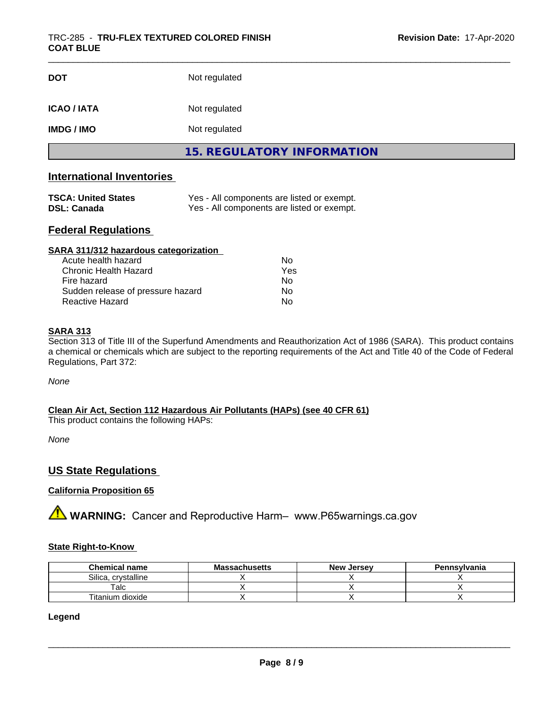| <b>DOT</b>       | Not regulated                     |  |
|------------------|-----------------------------------|--|
| <b>ICAO/IATA</b> | Not regulated                     |  |
| <b>IMDG/IMO</b>  | Not regulated                     |  |
|                  | <b>15. REGULATORY INFORMATION</b> |  |

### **International Inventories**

| <b>TSCA: United States</b> | Yes - All components are listed or exempt. |
|----------------------------|--------------------------------------------|
| <b>DSL: Canada</b>         | Yes - All components are listed or exempt. |

### **Federal Regulations**

| SARA 311/312 hazardous categorization |     |  |
|---------------------------------------|-----|--|
| Acute health hazard                   | Nο  |  |
| Chronic Health Hazard                 | Yes |  |
| Fire hazard                           | Nο  |  |
| Sudden release of pressure hazard     | Nο  |  |
| Reactive Hazard                       | No  |  |

### **SARA 313**

Section 313 of Title III of the Superfund Amendments and Reauthorization Act of 1986 (SARA). This product contains a chemical or chemicals which are subject to the reporting requirements of the Act and Title 40 of the Code of Federal Regulations, Part 372:

*None*

**Clean Air Act,Section 112 Hazardous Air Pollutants (HAPs) (see 40 CFR 61)**

This product contains the following HAPs:

*None*

### **US State Regulations**

### **California Proposition 65**

**A WARNING:** Cancer and Reproductive Harm– www.P65warnings.ca.gov

### **State Right-to-Know**

| <b>Chemical name</b>   | <b>Massachusetts</b> | <b>New Jersey</b> | Pennsylvania |
|------------------------|----------------------|-------------------|--------------|
| Silica.<br>crystalline |                      |                   |              |
| $\mathsf {^{T}alc}$ .  |                      |                   |              |
| Titanium dioxide       |                      |                   |              |

**Legend**